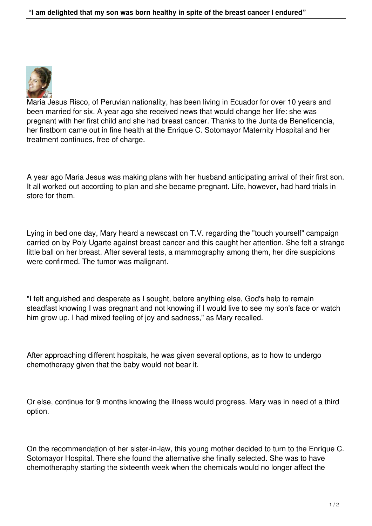

Maria Jesus Risco, of Peruvian nationality, has been living in Ecuador for over 10 years and been married for six. A year ago she received news that would change her life: she was pregnant with her first child and she had breast cancer. Thanks to the Junta de Beneficencia, her firstborn came out in fine health at the Enrique C. Sotomayor Maternity Hospital and her treatment continues, free of charge.

A year ago Maria Jesus was making plans with her husband anticipating arrival of their first son. It all worked out according to plan and she became pregnant. Life, however, had hard trials in store for them.

Lying in bed one day, Mary heard a newscast on T.V. regarding the "touch yourself" campaign carried on by Poly Ugarte against breast cancer and this caught her attention. She felt a strange little ball on her breast. After several tests, a mammography among them, her dire suspicions were confirmed. The tumor was malignant.

"I felt anguished and desperate as I sought, before anything else, God's help to remain steadfast knowing I was pregnant and not knowing if I would live to see my son's face or watch him grow up. I had mixed feeling of joy and sadness," as Mary recalled.

After approaching different hospitals, he was given several options, as to how to undergo chemotherapy given that the baby would not bear it.

Or else, continue for 9 months knowing the illness would progress. Mary was in need of a third option.

On the recommendation of her sister-in-law, this young mother decided to turn to the Enrique C. Sotomayor Hospital. There she found the alternative she finally selected. She was to have chemotheraphy starting the sixteenth week when the chemicals would no longer affect the